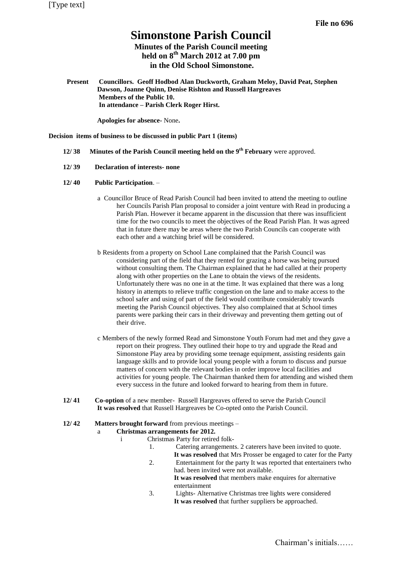# **Simonstone Parish Council**

## **Minutes of the Parish Council meeting held on 8 th March 2012 at 7.00 pm in the Old School Simonstone.**

**Present Councillors. Geoff Hodbod Alan Duckworth, Graham Meloy, David Peat, Stephen Dawson, Joanne Quinn, Denise Rishton and Russell Hargreaves Members of the Public 10. In attendance – Parish Clerk Roger Hirst.**

**Apologies for absence-** None**.** 

**Decision items of business to be discussed in public Part 1 (items)**

- **12/ 38 Minutes of the Parish Council meeting held on the 9 th February** were approved.
- **12/ 39 Declaration of interests- none**
- **12/ 40 Public Participation**.
	- a Councillor Bruce of Read Parish Council had been invited to attend the meeting to outline her Councils Parish Plan proposal to consider a joint venture with Read in producing a Parish Plan. However it became apparent in the discussion that there was insufficient time for the two councils to meet the objectives of the Read Parish Plan. It was agreed that in future there may be areas where the two Parish Councils can cooperate with each other and a watching brief will be considered.
	- b Residents from a property on School Lane complained that the Parish Council was considering part of the field that they rented for grazing a horse was being pursued without consulting them. The Chairman explained that he had called at their property along with other properties on the Lane to obtain the views of the residents. Unfortunately there was no one in at the time. It was explained that there was a long history in attempts to relieve traffic congestion on the lane and to make access to the school safer and using of part of the field would contribute considerably towards meeting the Parish Council objectives. They also complained that at School times parents were parking their cars in their driveway and preventing them getting out of their drive.
	- c Members of the newly formed Read and Simonstone Youth Forum had met and they gave a report on their progress. They outlined their hope to try and upgrade the Read and Simonstone Play area by providing some teenage equipment, assisting residents gain language skills and to provide local young people with a forum to discuss and pursue matters of concern with the relevant bodies in order improve local facilities and activities for young people. The Chairman thanked them for attending and wished them every success in the future and looked forward to hearing from them in future.
- **12/ 41 Co-option** of a new member- Russell Hargreaves offered to serve the Parish Council **It was resolved** that Russell Hargreaves be Co-opted onto the Parish Council.
- **12/ 42 Matters brought forward** from previous meetings –

#### a **Christmas arrangements for 2012.**

- i Christmas Party for retired folk-
	- 1. Catering arrangements. 2 caterers have been invited to quote.
	- **It was resolved** that Mrs Prosser be engaged to cater for the Party 2. Entertainment for the party It was reported that entertainers twho
	- had. been invited were not available. **It was resolved** that members make enquires for alternative entertainment
	- 3. Lights- Alternative Christmas tree lights were considered **It was resolved** that further suppliers be approached.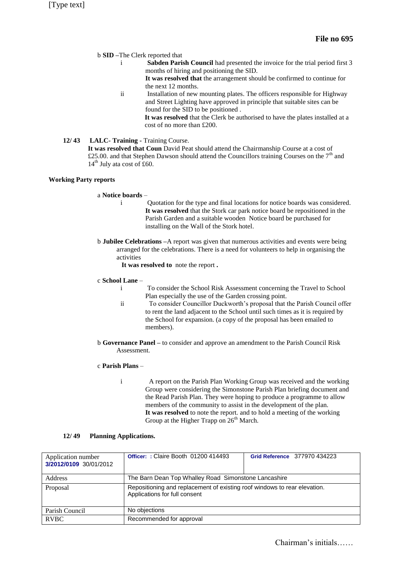#### b **SID –**The Clerk reported that

- i **Sabden Parish Council** had presented the invoice for the trial period first 3 months of hiring and positioning the SID.
	- **It was resolved that** the arrangement should be confirmed to continue for the next 12 months.
- ii Installation of new mounting plates. The officers responsible for Highway and Street Lighting have approved in principle that suitable sites can be found for the SID to be positioned .

**It was resolved** that the Clerk be authorised to have the plates installed at a cost of no more than £200.

## **12/ 43 LALC- Training -** Training Course.

**It was resolved that Coun** David Peat should attend the Chairmanship Course at a cost of £25.00. and that Stephen Dawson should attend the Councillors training Courses on the  $7<sup>th</sup>$  and 14<sup>th</sup> July ata cost of £60.

#### **Working Party reports**

#### a **Notice boards** –

- i Quotation for the type and final locations for notice boards was considered. **It was resolved** that the Stork car park notice board be repositioned in the Parish Garden and a suitable wooden Notice board be purchased for installing on the Wall of the Stork hotel.
- b **Jubilee Celebrations –**A report was given that numerous activities and events were being arranged for the celebrations. There is a need for volunteers to help in organising the activities

**It was resolved to** note the report **.**

#### c **School Lane** –

- i To consider the School Risk Assessment concerning the Travel to School Plan especially the use of the Garden crossing point.
- ii To consider Councillor Duckworth's proposal that the Parish Council offer to rent the land adjacent to the School until such times as it is required by the School for expansion. (a copy of the proposal has been emailed to members).
- b **Governance Panel –** to consider and approve an amendment to the Parish Council Risk Assessment.

### c **Parish Plans** –

i A report on the Parish Plan Working Group was received and the working Group were considering the Simonstone Parish Plan briefing document and the Read Parish Plan. They were hoping to produce a programme to allow members of the community to assist in the development of the plan. **It was resolved** to note the report. and to hold a meeting of the working Group at the Higher Trapp on  $26<sup>th</sup>$  March.

#### **12/ 49 Planning Applications.**

| Application number<br>3/2012/0109 30/01/2012 | <b>Officer: : Claire Booth 01200 414493</b>                                                                | Grid Reference 377970 434223 |  |
|----------------------------------------------|------------------------------------------------------------------------------------------------------------|------------------------------|--|
| Address                                      | The Barn Dean Top Whalley Road Simonstone Lancashire                                                       |                              |  |
| Proposal                                     | Repositioning and replacement of existing roof windows to rear elevation.<br>Applications for full consent |                              |  |
| Parish Council                               | No objections                                                                                              |                              |  |
| <b>RVBC</b>                                  | Recommended for approval                                                                                   |                              |  |